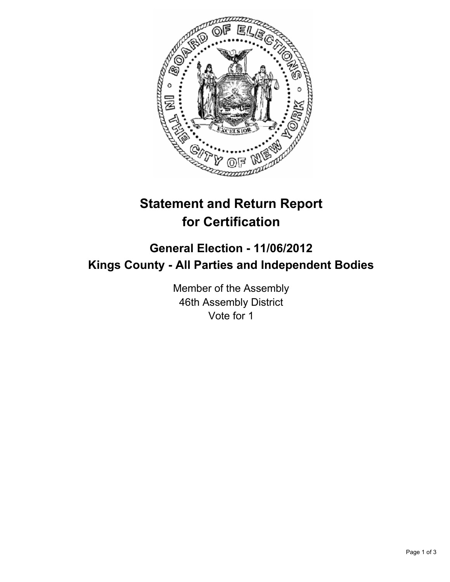

## **Statement and Return Report for Certification**

## **General Election - 11/06/2012 Kings County - All Parties and Independent Bodies**

Member of the Assembly 46th Assembly District Vote for 1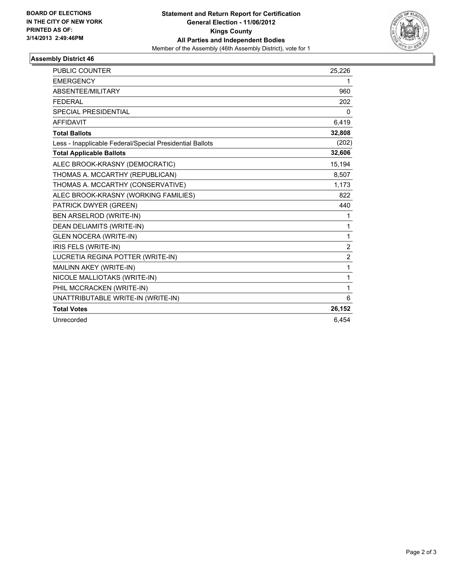

## **Assembly District 46**

| PUBLIC COUNTER                                           | 25,226         |
|----------------------------------------------------------|----------------|
| <b>EMERGENCY</b>                                         | 1              |
| ABSENTEE/MILITARY                                        | 960            |
| <b>FEDERAL</b>                                           | 202            |
| <b>SPECIAL PRESIDENTIAL</b>                              | 0              |
| <b>AFFIDAVIT</b>                                         | 6,419          |
| <b>Total Ballots</b>                                     | 32,808         |
| Less - Inapplicable Federal/Special Presidential Ballots | (202)          |
| <b>Total Applicable Ballots</b>                          | 32,606         |
| ALEC BROOK-KRASNY (DEMOCRATIC)                           | 15,194         |
| THOMAS A. MCCARTHY (REPUBLICAN)                          | 8,507          |
| THOMAS A. MCCARTHY (CONSERVATIVE)                        | 1,173          |
| ALEC BROOK-KRASNY (WORKING FAMILIES)                     | 822            |
| PATRICK DWYER (GREEN)                                    | 440            |
| BEN ARSELROD (WRITE-IN)                                  | 1              |
| DEAN DELIAMITS (WRITE-IN)                                | 1              |
| <b>GLEN NOCERA (WRITE-IN)</b>                            | 1              |
| IRIS FELS (WRITE-IN)                                     | $\overline{2}$ |
| LUCRETIA REGINA POTTER (WRITE-IN)                        | $\overline{2}$ |
| MAILINN AKEY (WRITE-IN)                                  | 1              |
| NICOLE MALLIOTAKS (WRITE-IN)                             | 1              |
| PHIL MCCRACKEN (WRITE-IN)                                | 1              |
| UNATTRIBUTABLE WRITE-IN (WRITE-IN)                       | 6              |
| <b>Total Votes</b>                                       | 26,152         |
| Unrecorded                                               | 6.454          |